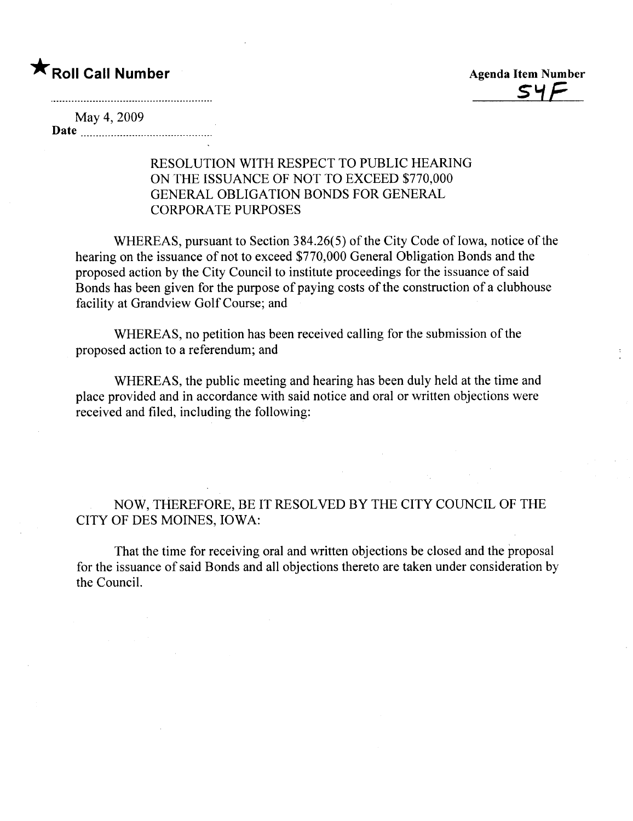



## May 4, 2009

Date in the second state of the second state in the second state of the second state in the second state of the second state in the second state in the second state in the second state in the second state in the second sta

## RESOLUTION WITH RESPECT TO PUBLIC HEARING ON THE ISSUANCE OF NOT TO EXCEED \$770,000 GENERAL OBLIGATION BONDS FOR GENERAL CORPORATE PURPOSES

WHEREAS, pursuant to Section 384.26(5) of the City Code of Iowa, notice of the hearing on the issuance of not to exceed \$770,000 General Obligation Bonds and the proposed action by the City Council to institute proceedings for the issuance of said Bonds has been given for the purpose of paying costs of the construction of a clubhouse facility at Grandview Golf Course; and

WHEREAS, no petition has been received calling for the submission of the proposed action to a referendum; and

WHEREAS, the public meeting and hearing has been duly held at the time and place provided and in accordance with said notice and oral or written objections were received and filed, including the following:

NOW, THEREFORE, BE IT RESOLVED BY THE CITY COUNCIL OF THE CITY OF DES MOINES, IOWA:

That the time for receiving oral and written objections be closed and the proposal for the issuance of said Bonds and all objections thereto are taken under consideration by the CounciL.